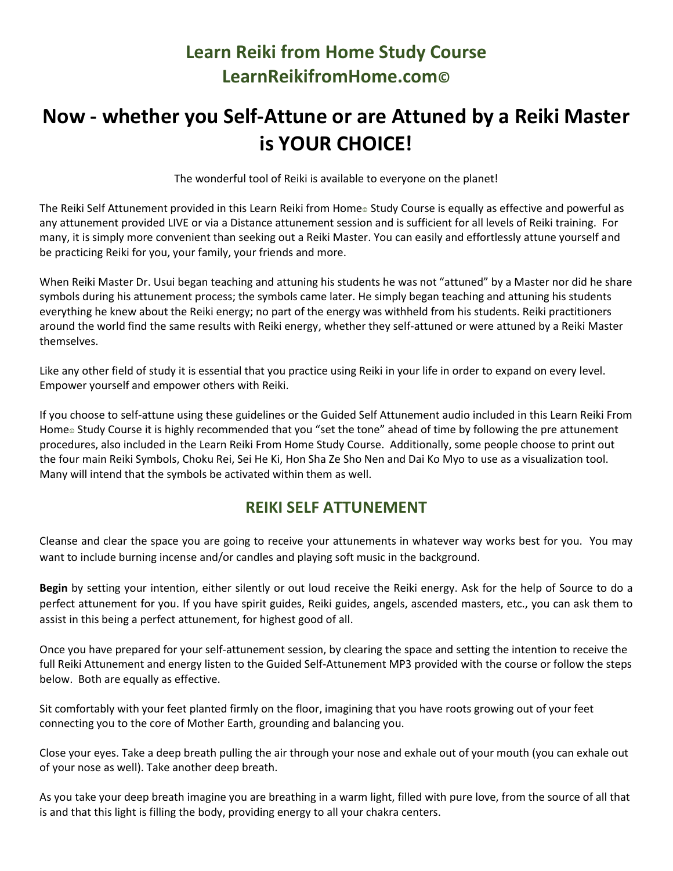## **Learn Reiki from Home Study Course LearnReikifromHome.com©**

## **Now - whether you Self-Attune or are Attuned by a Reiki Master is YOUR CHOICE!**

The wonderful tool of Reiki is available to everyone on the planet!

The Reiki Self Attunement provided in this Learn Reiki from Home $\circ$  Study Course is equally as effective and powerful as any attunement provided LIVE or via a Distance attunement session and is sufficient for all levels of Reiki training. For many, it is simply more convenient than seeking out a Reiki Master. You can easily and effortlessly attune yourself and be practicing Reiki for you, your family, your friends and more.

When Reiki Master Dr. Usui began teaching and attuning his students he was not "attuned" by a Master nor did he share symbols during his attunement process; the symbols came later. He simply began teaching and attuning his students everything he knew about the Reiki energy; no part of the energy was withheld from his students. Reiki practitioners around the world find the same results with Reiki energy, whether they self-attuned or were attuned by a Reiki Master themselves.

Like any other field of study it is essential that you practice using Reiki in your life in order to expand on every level. Empower yourself and empower others with Reiki.

If you choose to self-attune using these guidelines or the Guided Self Attunement audio included in this Learn Reiki From Home<sub>©</sub> Study Course it is highly recommended that you "set the tone" ahead of time by following the pre attunement procedures, also included in the Learn Reiki From Home Study Course. Additionally, some people choose to print out the four main Reiki Symbols, Choku Rei, Sei He Ki, Hon Sha Ze Sho Nen and Dai Ko Myo to use as a visualization tool. Many will intend that the symbols be activated within them as well.

## **REIKI SELF ATTUNEMENT**

Cleanse and clear the space you are going to receive your attunements in whatever way works best for you. You may want to include burning incense and/or candles and playing soft music in the background.

**Begin** by setting your intention, either silently or out loud receive the Reiki energy. Ask for the help of Source to do a perfect attunement for you. If you have spirit guides, Reiki guides, angels, ascended masters, etc., you can ask them to assist in this being a perfect attunement, for highest good of all.

Once you have prepared for your self-attunement session, by clearing the space and setting the intention to receive the full Reiki Attunement and energy listen to the Guided Self-Attunement MP3 provided with the course or follow the steps below. Both are equally as effective.

Sit comfortably with your feet planted firmly on the floor, imagining that you have roots growing out of your feet connecting you to the core of Mother Earth, grounding and balancing you.

Close your eyes. Take a deep breath pulling the air through your nose and exhale out of your mouth (you can exhale out of your nose as well). Take another deep breath.

As you take your deep breath imagine you are breathing in a warm light, filled with pure love, from the source of all that is and that this light is filling the body, providing energy to all your chakra centers.